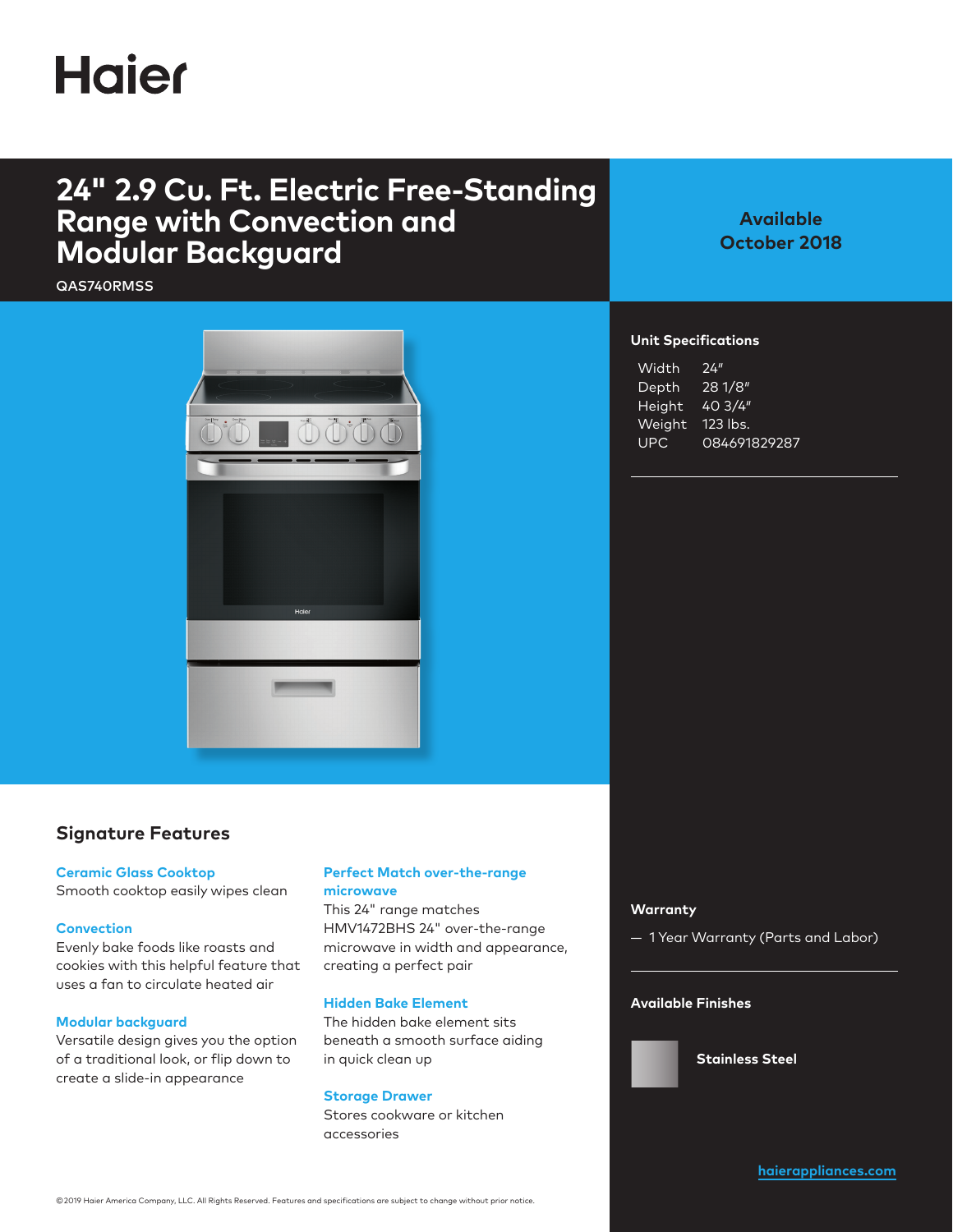## **Haier**

## **24" 2.9 Cu. Ft. Electric Free-Standing Range with Convection and Modular Backguard**

QAS740RMSS



## **Available October 2018**

#### **Unit Specifications**

| Width      | 24''         |
|------------|--------------|
| Depth      | 281/8"       |
| Height     | 403/4"       |
| Weight     | 123 lbs.     |
| <b>UPC</b> | 084691829287 |

### **Signature Features**

#### **Ceramic Glass Cooktop**

Smooth cooktop easily wipes clean

#### **Convection**

Evenly bake foods like roasts and cookies with this helpful feature that uses a fan to circulate heated air

#### **Modular backguard**

Versatile design gives you the option of a traditional look, or flip down to create a slide-in appearance

#### **Perfect Match over-the-range microwave**

This 24" range matches HMV1472BHS 24" over-the-range microwave in width and appearance, creating a perfect pair

#### **Hidden Bake Element**

The hidden bake element sits beneath a smooth surface aiding in quick clean up

#### **Storage Drawer**

Stores cookware or kitchen accessories

#### **Warranty**

— 1 Year Warranty (Parts and Labor)

#### **Available Finishes**

**Stainless Steel**